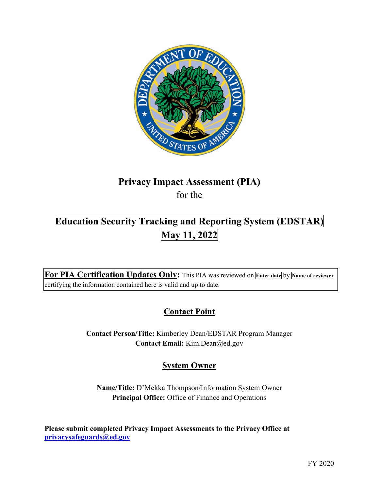

# **Privacy Impact Assessment (PIA)**  for the

# **Education Security Tracking and Reporting System (EDSTAR) May 11, 2022**

 **For PIA Certification Updates Only:** This PIA was reviewed on **Enter date** by **Name of reviewer**  certifying the information contained here is valid and up to date.

## **Contact Point**

**Contact Person/Title:** Kimberley Dean/EDSTAR Program Manager **Contact Email:** [Kim.Dean@ed.gov](mailto:Kim.Dean@ed.gov)

## **System Owner**

**Name/Title:** D'Mekka Thompson/Information System Owner **Principal Office:** Office of Finance and Operations

 **Please submit completed Privacy Impact Assessments to the Privacy Office at [privacysafeguards@ed.gov](mailto:privacysafeguards@ed.gov)**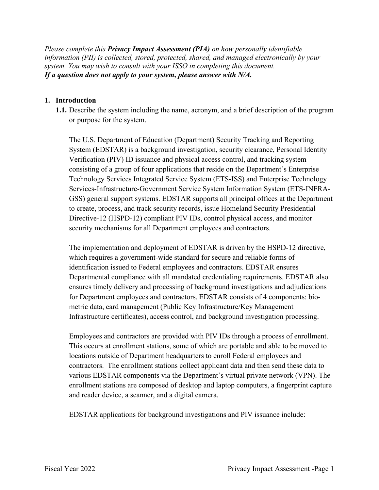*Please complete this Privacy Impact Assessment (PIA) on how personally identifiable information (PII) is collected, stored, protected, shared, and managed electronically by your system. You may wish to consult with your ISSO in completing this document. If a question does not apply to your system, please answer with N/A.* 

#### **1. Introduction**

or purpose for the system. **1.1.** Describe the system including the name, acronym, and a brief description of the program

 Verification (PIV) ID issuance and physical access control, and tracking system consisting of a group of four applications that reside on the Department's Enterprise to create, process, and track security records, issue Homeland Security Presidential The U.S. Department of Education (Department) Security Tracking and Reporting System (EDSTAR) is a background investigation, security clearance, Personal Identity Technology Services Integrated Service System (ETS-ISS) and Enterprise Technology Services-Infrastructure-Government Service System Information System (ETS-INFRA-GSS) general support systems. EDSTAR supports all principal offices at the Department Directive-12 (HSPD-12) compliant PIV IDs, control physical access, and monitor security mechanisms for all Department employees and contractors.

The implementation and deployment of EDSTAR is driven by the HSPD-12 directive, which requires a government-wide standard for secure and reliable forms of identification issued to Federal employees and contractors. EDSTAR ensures Departmental compliance with all mandated credentialing requirements. EDSTAR also ensures timely delivery and processing of background investigations and adjudications for Department employees and contractors. EDSTAR consists of 4 components: biometric data, card management (Public Key Infrastructure/Key Management Infrastructure certificates), access control, and background investigation processing.

 This occurs at enrollment stations, some of which are portable and able to be moved to Employees and contractors are provided with PIV IDs through a process of enrollment. locations outside of Department headquarters to enroll Federal employees and contractors. The enrollment stations collect applicant data and then send these data to various EDSTAR components via the Department's virtual private network (VPN). The enrollment stations are composed of desktop and laptop computers, a fingerprint capture and reader device, a scanner, and a digital camera.

EDSTAR applications for background investigations and PIV issuance include: EDSTAR applications for background investigations and PIV issuance include:<br>
Fiscal Year 2022 Privacy Impact Assessment -Page 1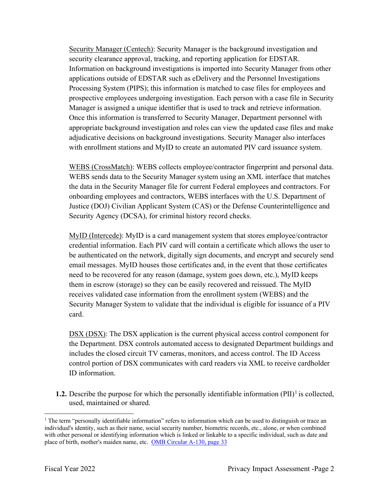Processing System (PIPS); this information is matched to case files for employees and Manager is assigned a unique identifier that is used to track and retrieve information. Once this information is transferred to Security Manager, Department personnel with with enrollment stations and MyID to create an automated PIV card issuance system. Security Manager (Centech): Security Manager is the background investigation and security clearance approval, tracking, and reporting application for EDSTAR. Information on background investigations is imported into Security Manager from other applications outside of EDSTAR such as eDelivery and the Personnel Investigations prospective employees undergoing investigation. Each person with a case file in Security appropriate background investigation and roles can view the updated case files and make adjudicative decisions on background investigations. Security Manager also interfaces

 the data in the Security Manager file for current Federal employees and contractors. For WEBS (CrossMatch): WEBS collects employee/contractor fingerprint and personal data. WEBS sends data to the Security Manager system using an XML interface that matches onboarding employees and contractors, WEBS interfaces with the U.S. Department of Justice (DOJ) Civilian Applicant System (CAS) or the Defense Counterintelligence and Security Agency (DCSA), for criminal history record checks.

MyID (Intercede): MyID is a card management system that stores employee/contractor need to be recovered for any reason (damage, system goes down, etc.), MyID keeps credential information. Each PIV card will contain a certificate which allows the user to be authenticated on the network, digitally sign documents, and encrypt and securely send email messages. MyID houses those certificates and, in the event that those certificates them in escrow (storage) so they can be easily recovered and reissued. The MyID receives validated case information from the enrollment system (WEBS) and the Security Manager System to validate that the individual is eligible for issuance of a PIV card.

DSX (DSX): The DSX application is the current physical access control component for the Department. DSX controls automated access to designated Department buildings and includes the closed circuit TV cameras, monitors, and access control. The ID Access control portion of DSX communicates with card readers via XML to receive cardholder ID information.

**1.2.** Describe the purpose for which the personally identifiable information  $(PII)^{1}$  is collected, used, maintained or shared.

 $1$  The term "personally identifiable information" refers to information which can be used to distinguish or trace an individual's identity, such as their name, social security number, biometric records, etc., alone, or when combined with other personal or identifying information which is linked or linkable to a specific individual, such as date and place of birth, mother's maiden name, etc. **OMB Circular A-130, page 33**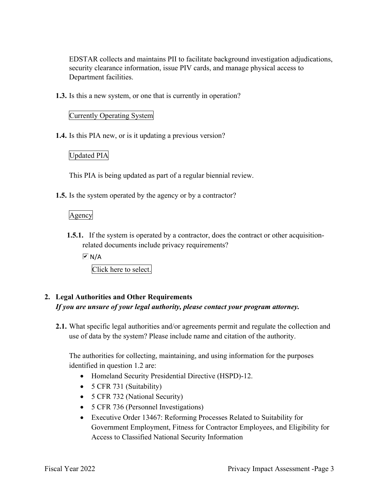Department facilities. EDSTAR collects and maintains PII to facilitate background investigation adjudications, security clearance information, issue PIV cards, and manage physical access to

**1.3.** Is this a new system, or one that is currently in operation?

## Currently Operating System

**1.4.** Is this PIA new, or is it updating a previous version?

## Updated PIA

This PIA is being updated as part of a regular biennial review.

**1.5.** Is the system operated by the agency or by a contractor?

Agency

- **1.5.1.** If the system is operated by a contractor, does the contract or other acquisitionrelated documents include privacy requirements?
	- $\overline{V}$  N/A

Click here to select.

## **2. Legal Authorities and Other Requirements**  *If you are unsure of your legal authority, please contact your program attorney.*

 **2.1.** What specific legal authorities and/or agreements permit and regulate the collection and use of data by the system? Please include name and citation of the authority.

The authorities for collecting, maintaining, and using information for the purposes identified in question 1.2 are:

- Homeland Security Presidential Directive (HSPD)-12.
- 5 CFR 731 (Suitability)
- 5 CFR 732 (National Security)
- 5 CFR 736 (Personnel Investigations)
- Executive Order 13467: Reforming Processes Related to Suitability for Government Employment, Fitness for Contractor Employees, and Eligibility for Access to Classified National Security Information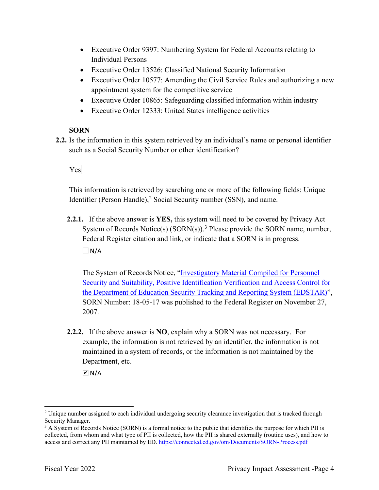- Executive Order 9397: Numbering System for Federal Accounts relating to Individual Persons
- Executive Order 13526: Classified National Security Information
- Executive Order 10577: Amending the Civil Service Rules and authorizing a new appointment system for the competitive service
- Executive Order 10865: Safeguarding classified information within industry
- Executive Order 12333: United States intelligence activities

## **SORN**

 **2.2.** Is the information in this system retrieved by an individual's name or personal identifier such as a Social Security Number or other identification?

## Yes

 This information is retrieved by searching one or more of the following fields: Unique Identifier (Person Handle), $2$  Social Security number (SSN), and name.

**2.2.1.** If the above answer is **YES,** this system will need to be covered by Privacy Act System of Records Notice(s)  $(SORN(s))$ .<sup>3</sup> Please provide the SORN name, number, Federal Register citation and link, or indicate that a SORN is in progress.  $\Box$  N/A

The System of Records Notice, "Investigatory Material Compiled for Personnel Security and Suitability, Positive Identification Verification and Access Control for the Department of Education Security Tracking and Reporting System (EDSTAR)", SORN Number: 18-05-17 was published to the Federal Register on November 27, 2007.

 **2.2.2.** If the above answer is **NO**, explain why a SORN was not necessary. For Department, etc. example, the information is not retrieved by an identifier, the information is not maintained in a system of records, or the information is not maintained by the

 $\overline{M}$  N/A

 $2$  Unique number assigned to each individual undergoing security clearance investigation that is tracked through Security Manager.

 $3$  A System of Records Notice (SORN) is a formal notice to the public that identifies the purpose for which PII is collected, from whom and what type of PII is collected, how the PII is shared externally (routine uses), and how to access and correct any PII maintained by ED. <https://connected.ed.gov/om/Documents/SORN-Process.pdf>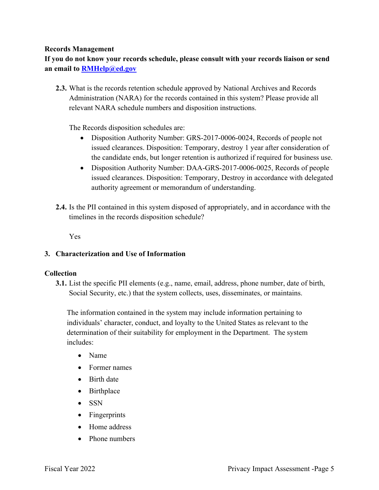#### **Records Management**

 **an email to [RMHelp@ed.gov](mailto:RMHelp@ed.gov) If you do not know your records schedule, please consult with your records liaison or send** 

**2.3.** What is the records retention schedule approved by National Archives and Records Administration (NARA) for the records contained in this system? Please provide all relevant NARA schedule numbers and disposition instructions.

The Records disposition schedules are:

- Disposition Authority Number: GRS-2017-0006-0024, Records of people not issued clearances. Disposition: Temporary, destroy 1 year after consideration of the candidate ends, but longer retention is authorized if required for business use.
- Disposition Authority Number: DAA-GRS-2017-0006-0025, Records of people issued clearances. Disposition: Temporary, Destroy in accordance with delegated authority agreement or memorandum of understanding.
- timelines in the records disposition schedule? **2.4.** Is the PII contained in this system disposed of appropriately, and in accordance with the

Yes

#### **3. Characterization and Use of Information**

#### **Collection**

**3.1.** List the specific PII elements (e.g., name, email, address, phone number, date of birth, Social Security, etc.) that the system collects, uses, disseminates, or maintains.

The information contained in the system may include information pertaining to individuals' character, conduct, and loyalty to the United States as relevant to the determination of their suitability for employment in the Department. The system includes:

- Name
- Former names
- Birth date
- Birthplace
- SSN
- Fingerprints
- Home address
- Phone numbers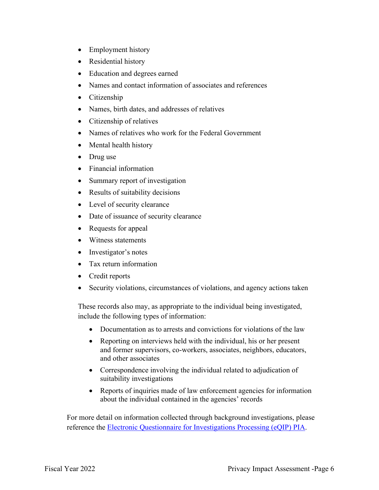- Employment history
- Residential history
- Education and degrees earned
- Names and contact information of associates and references
- Citizenship
- Names, birth dates, and addresses of relatives
- Citizenship of relatives
- Names of relatives who work for the Federal Government
- Mental health history
- Drug use
- Financial information
- Summary report of investigation
- Results of suitability decisions
- Level of security clearance
- Date of issuance of security clearance
- Requests for appeal
- Witness statements
- Investigator's notes
- Tax return information
- Credit reports
- Security violations, circumstances of violations, and agency actions taken

These records also may, as appropriate to the individual being investigated, include the following types of information:

- Documentation as to arrests and convictions for violations of the law
- Reporting on interviews held with the individual, his or her present and former supervisors, co-workers, associates, neighbors, educators, and other associates
- suitability investigations • Correspondence involving the individual related to adjudication of
- Reports of inquiries made of law enforcement agencies for information about the individual contained in the agencies' records

For more detail on information collected through background investigations, please reference the Electronic Questionnaire for Investigations Processing (eQIP) PIA.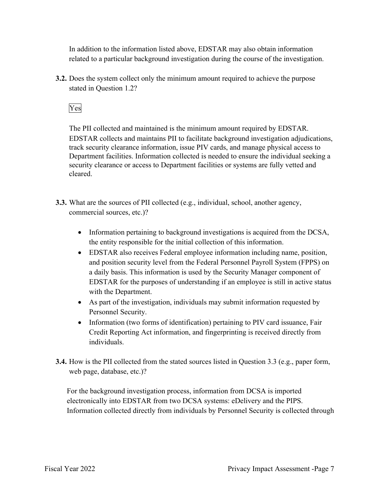related to a particular background investigation during the course of the investigation. In addition to the information listed above, EDSTAR may also obtain information

 **3.2.** Does the system collect only the minimum amount required to achieve the purpose stated in Question 1.2?<br>Yes

 Department facilities. Information collected is needed to ensure the individual seeking a security clearance or access to Department facilities or systems are fully vetted and cleared. The PII collected and maintained is the minimum amount required by EDSTAR. EDSTAR collects and maintains PII to facilitate background investigation adjudications, track security clearance information, issue PIV cards, and manage physical access to

- **3.3.** What are the sources of PII collected (e.g., individual, school, another agency, commercial sources, etc.)?
	- • Information pertaining to background investigations is acquired from the DCSA, the entity responsible for the initial collection of this information.
	- and position security level from the Federal Personnel Payroll System (FPPS) on • EDSTAR also receives Federal employee information including name, position, a daily basis. This information is used by the Security Manager component of EDSTAR for the purposes of understanding if an employee is still in active status with the Department.
	- As part of the investigation, individuals may submit information requested by Personnel Security.
	- Credit Reporting Act information, and fingerprinting is received directly from • Information (two forms of identification) pertaining to PIV card issuance, Fair individuals.
- **3.4.** How is the PII collected from the stated sources listed in Question 3.3 (e.g., paper form, web page, database, etc.)?

 Information collected directly from individuals by Personnel Security is collected through For the background investigation process, information from DCSA is imported electronically into EDSTAR from two DCSA systems: eDelivery and the PIPS.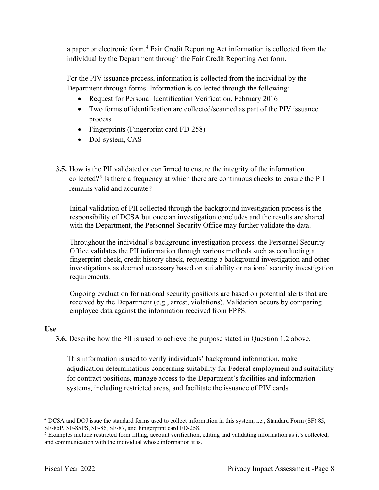a paper or electronic form. <sup>4</sup> Fair Credit Reporting Act information is collected from the individual by the Department through the Fair Credit Reporting Act form.

For the PIV issuance process, information is collected from the individual by the Department through forms. Information is collected through the following:

- Request for Personal Identification Verification, February 2016
- Two forms of identification are collected/scanned as part of the PIV issuance process
- Fingerprints (Fingerprint card FD-258)
- DoJ system, CAS
- **3.5.** How is the PII validated or confirmed to ensure the integrity of the information collected?5 Is there a frequency at which there are continuous checks to ensure the PII remains valid and accurate?

 Initial validation of PII collected through the background investigation process is the responsibility of DCSA but once an investigation concludes and the results are shared with the Department, the Personnel Security Office may further validate the data.

 Throughout the individual's background investigation process, the Personnel Security Office validates the PII information through various methods such as conducting a fingerprint check, credit history check, requesting a background investigation and other investigations as deemed necessary based on suitability or national security investigation requirements.

Ongoing evaluation for national security positions are based on potential alerts that are received by the Department (e.g., arrest, violations). Validation occurs by comparing employee data against the information received from FPPS.

## **Use**

**3.6.** Describe how the PII is used to achieve the purpose stated in Question 1.2 above.

 systems, including restricted areas, and facilitate the issuance of PIV cards. This information is used to verify individuals' background information, make adjudication determinations concerning suitability for Federal employment and suitability for contract positions, manage access to the Department's facilities and information

<sup>&</sup>lt;sup>4</sup> DCSA and DOJ issue the standard forms used to collect information in this system, i.e., Standard Form (SF) 85, SF-85P, SF-85PS, SF-86, SF-87, and Fingerprint card FD-258.

SF-85P, SF-85PS, SF-86, SF-87, and Fingerprint card FD-258.<br><sup>5</sup> Examples include restricted form filling, account verification, editing and validating information as it's collected, and communication with the individual whose information it is.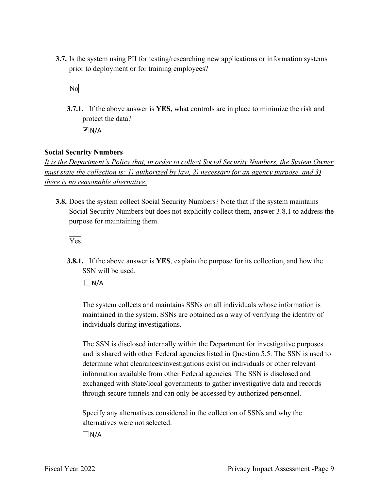prior to deployment or for training employees?<br>No **3.7.** Is the system using PII for testing/researching new applications or information systems

 **3.7.1.** If the above answer is **YES,** what controls are in place to minimize the risk and protect the data?  $\overline{M}$  N/A

## **Social Security Numbers**

*It is the Department's Policy that, in order to collect Social Security Numbers, the System Owner must state the collection is: 1) authorized by law, 2) necessary for an agency purpose, and 3) there is no reasonable alternative.* 

 **3.8.** Does the system collect Social Security Numbers? Note that if the system maintains Social Security Numbers but does not explicitly collect them, answer 3.8.1 to address the purpose for maintaining them.

Yes

**3.8.1.** If the above answer is **YES**, explain the purpose for its collection, and how the SSN will be used.

 $\Box$ N/A

 maintained in the system. SSNs are obtained as a way of verifying the identity of The system collects and maintains SSNs on all individuals whose information is individuals during investigations.

 and is shared with other Federal agencies listed in Question 5.5. The SSN is used to The SSN is disclosed internally within the Department for investigative purposes determine what clearances/investigations exist on individuals or other relevant information available from other Federal agencies. The SSN is disclosed and exchanged with State/local governments to gather investigative data and records through secure tunnels and can only be accessed by authorized personnel.

Specify any alternatives considered in the collection of SSNs and why the alternatives were not selected.

 $\Box$  N/A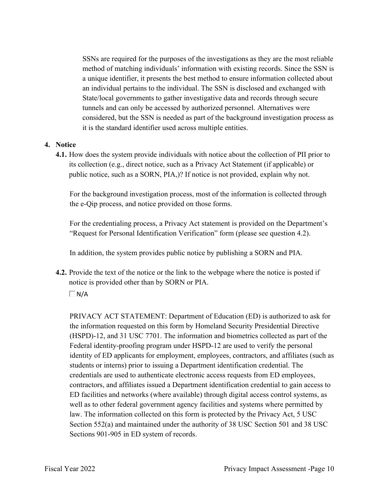considered, but the SSN is needed as part of the background investigation process as SSNs are required for the purposes of the investigations as they are the most reliable method of matching individuals' information with existing records. Since the SSN is a unique identifier, it presents the best method to ensure information collected about an individual pertains to the individual. The SSN is disclosed and exchanged with State/local governments to gather investigative data and records through secure tunnels and can only be accessed by authorized personnel. Alternatives were it is the standard identifier used across multiple entities.

#### **4. Notice**

 its collection (e.g., direct notice, such as a Privacy Act Statement (if applicable) or **4.1.** How does the system provide individuals with notice about the collection of PII prior to public notice, such as a SORN, PIA,)? If notice is not provided, explain why not.

 For the background investigation process, most of the information is collected through the e-Qip process, and notice provided on those forms.

For the credentialing process, a Privacy Act statement is provided on the Department's "Request for Personal Identification Verification" form (please see question 4.2).

In addition, the system provides public notice by publishing a SORN and PIA.

**4.2.** Provide the text of the notice or the link to the webpage where the notice is posted if notice is provided other than by SORN or PIA.

 $\Box$ N/A

 PRIVACY ACT STATEMENT: Department of Education (ED) is authorized to ask for the information requested on this form by Homeland Security Presidential Directive (HSPD)-12, and 31 USC 7701. The information and biometrics collected as part of the Federal identity-proofing program under HSPD-12 are used to verify the personal identity of ED applicants for employment, employees, contractors, and affiliates (such as students or interns) prior to issuing a Department identification credential. The credentials are used to authenticate electronic access requests from ED employees, contractors, and affiliates issued a Department identification credential to gain access to ED facilities and networks (where available) through digital access control systems, as well as to other federal government agency facilities and systems where permitted by law. The information collected on this form is protected by the Privacy Act, 5 USC Section 552(a) and maintained under the authority of 38 USC Section 501 and 38 USC Sections 901-905 in ED system of records.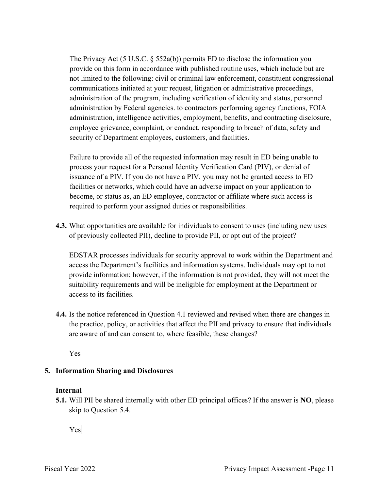provide on this form in accordance with published routine uses, which include but are employee grievance, complaint, or conduct, responding to breach of data, safety and security of Department employees, customers, and facilities. The Privacy Act (5 U.S.C. § 552a(b)) permits ED to disclose the information you not limited to the following: civil or criminal law enforcement, constituent congressional communications initiated at your request, litigation or administrative proceedings, administration of the program, including verification of identity and status, personnel administration by Federal agencies. to contractors performing agency functions, FOIA administration, intelligence activities, employment, benefits, and contracting disclosure,

Failure to provide all of the requested information may result in ED being unable to process your request for a Personal Identity Verification Card (PIV), or denial of issuance of a PIV. If you do not have a PIV, you may not be granted access to ED facilities or networks, which could have an adverse impact on your application to become, or status as, an ED employee, contractor or affiliate where such access is required to perform your assigned duties or responsibilities.

**4.3.** What opportunities are available for individuals to consent to uses (including new uses of previously collected PII), decline to provide PII, or opt out of the project?

 access the Department's facilities and information systems. Individuals may opt to not EDSTAR processes individuals for security approval to work within the Department and provide information; however, if the information is not provided, they will not meet the suitability requirements and will be ineligible for employment at the Department or access to its facilities.

**4.4.** Is the notice referenced in Question 4.1 reviewed and revised when there are changes in the practice, policy, or activities that affect the PII and privacy to ensure that individuals are aware of and can consent to, where feasible, these changes?

Yes

## **5. Information Sharing and Disclosures**

#### **Internal**

 **5.1.** Will PII be shared internally with other ED principal offices? If the answer is **NO**, please skip to Question 5.4.

Yes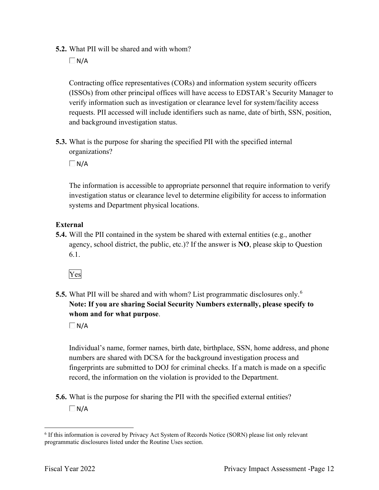#### **5.2.** What PII will be shared and with whom?

 $\Box$ N/A

 Contracting office representatives (CORs) and information system security officers (ISSOs) from other principal offices will have access to EDSTAR's Security Manager to verify information such as investigation or clearance level for system/facility access requests. PII accessed will include identifiers such as name, date of birth, SSN, position, and background investigation status.

 **5.3.** What is the purpose for sharing the specified PII with the specified internal organizations?

 $\Box N/A$ 

The information is accessible to appropriate personnel that require information to verify investigation status or clearance level to determine eligibility for access to information systems and Department physical locations.

## **External**

**5.4.** Will the PII contained in the system be shared with external entities (e.g., another agency, school district, the public, etc.)? If the answer is **NO**, please skip to Question 6.1.

Yes

 **5.5.** What PII will be shared and with whom? List programmatic disclosures only. 6  **Note: If you are sharing Social Security Numbers externally, please specify to whom and for what purpose**.

 $\Box$ N/A

Individual's name, former names, birth date, birthplace, SSN, home address, and phone numbers are shared with DCSA for the background investigation process and fingerprints are submitted to DOJ for criminal checks. If a match is made on a specific record, the information on the violation is provided to the Department.

 **5.6.** What is the purpose for sharing the PII with the specified external entities?  $\Box$ N/A

 $6$  If this information is covered by Privacy Act System of Records Notice (SORN) please list only relevant programmatic disclosures listed under the Routine Uses section.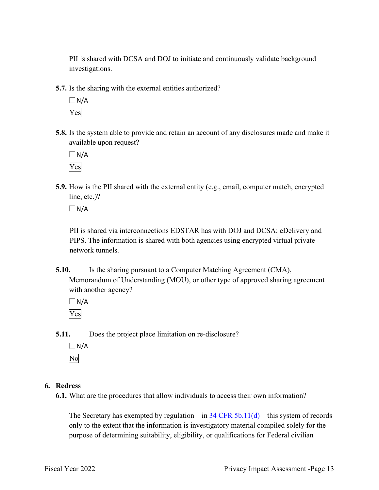PII is shared with DCSA and DOJ to initiate and continuously validate background investigations.

**5.7.** Is the sharing with the external entities authorized?

 $\Box$ N/A Yes

**5.8.** Is the system able to provide and retain an account of any disclosures made and make it available upon request?

 $\Box$ N/A Yes

**5.9.** How is the PII shared with the external entity (e.g., email, computer match, encrypted line, etc.)?

 $\Box N/A$ 

 PIPS. The information is shared with both agencies using encrypted virtual private PII is shared via interconnections EDSTAR has with DOJ and DCSA: eDelivery and network tunnels.

**5.10.** Is the sharing pursuant to a Computer Matching Agreement (CMA), Memorandum of Understanding (MOU), or other type of approved sharing agreement with another agency?

 $\Box$ N/A Yes

**5.11.** Does the project place limitation on re-disclosure?

 $\Box$ N/A No

## **6. Redress**

**6.1.** What are the procedures that allow individuals to access their own information?

 only to the extent that the information is investigatory material compiled solely for the The Secretary has exempted by regulation—in 34 CFR 5b.11(d)—this system of records purpose of determining suitability, eligibility, or qualifications for Federal civilian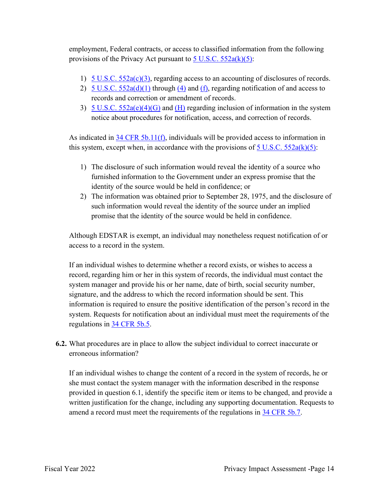employment, Federal contracts, or access to classified information from the following provisions of the Privacy Act pursuant to  $5$  U.S.C.  $552a(k)(5)$ :

- 1)  $5 \text{ U.S.C. } 552 \text{a(c)(3)}$ , regarding access to an accounting of disclosures of records.
- records and correction or amendment of records. 2)  $5 \text{ U.S.C. } 552a(d)(1)$  through  $(4)$  and  $(f)$ , regarding notification of and access to
- 3)  $5 \text{ U.S.C. } 552 \text{a}(e)(4)(G)$  and  $(H)$  regarding inclusion of information in the system notice about procedures for notification, access, and correction of records.

notice about procedures for notification, access, and correction of records.<br>As indicated in 34 CFR 5b.11(f), individuals will be provided access to information in this system, except when, in accordance with the provisions of  $5$  U.S.C.  $552a(k)(5)$ :

- identity of the source would be held in confidence; or 1) The disclosure of such information would reveal the identity of a source who furnished information to the Government under an express promise that the
- 2) The information was obtained prior to September 28, 1975, and the disclosure of such information would reveal the identity of the source under an implied promise that the identity of the source would be held in confidence.

 Although EDSTAR is exempt, an individual may nonetheless request notification of or access to a record in the system.

 If an individual wishes to determine whether a record exists, or wishes to access a system manager and provide his or her name, date of birth, social security number, information is required to ensure the positive identification of the person's record in the record, regarding him or her in this system of records, the individual must contact the signature, and the address to which the record information should be sent. This system. Requests for notification about an individual must meet the requirements of the regulations in 34 CFR 5b.5.

**6.2.** What procedures are in place to allow the subject individual to correct inaccurate or erroneous information?

 If an individual wishes to change the content of a record in the system of records, he or she must contact the system manager with the information described in the response provided in question 6.1, identify the specific item or items to be changed, and provide a written justification for the change, including any supporting documentation. Requests to amend a record must meet the requirements of the regulations in 34 CFR 5b.7.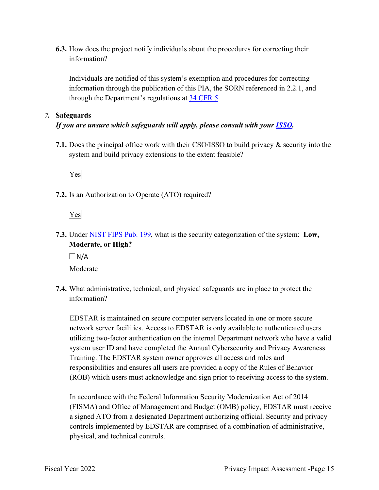**6.3.** How does the project notify individuals about the procedures for correcting their information?

 Individuals are notified of this system's exemption and procedures for correcting information through the publication of this PIA, the SORN referenced in 2.2.1, and through the Department's regulations at  $34$  CFR 5.

## *7.* **Safeguards**

## *If you are unsure which safeguards will apply, please consult with your ISSO.*

 **7.1.** Does the principal office work with their CSO/ISSO to build privacy & security into the system and build privacy extensions to the extent feasible?



**7.2.** Is an Authorization to Operate (ATO) required?

Yes

 **7.3.** Under NIST FIPS Pub. 199, what is the security categorization of the system: **Low, Moderate, or High?** 

 $\Box$ N/A Moderate

 **7.4.** What administrative, technical, and physical safeguards are in place to protect the information?

 (ROB) which users must acknowledge and sign prior to receiving access to the system. EDSTAR is maintained on secure computer servers located in one or more secure network server facilities. Access to EDSTAR is only available to authenticated users utilizing two-factor authentication on the internal Department network who have a valid system user ID and have completed the Annual Cybersecurity and Privacy Awareness Training. The EDSTAR system owner approves all access and roles and responsibilities and ensures all users are provided a copy of the Rules of Behavior

 In accordance with the Federal Information Security Modernization Act of 2014 (FISMA) and Office of Management and Budget (OMB) policy, EDSTAR must receive a signed ATO from a designated Department authorizing official. Security and privacy controls implemented by EDSTAR are comprised of a combination of administrative, physical, and technical controls.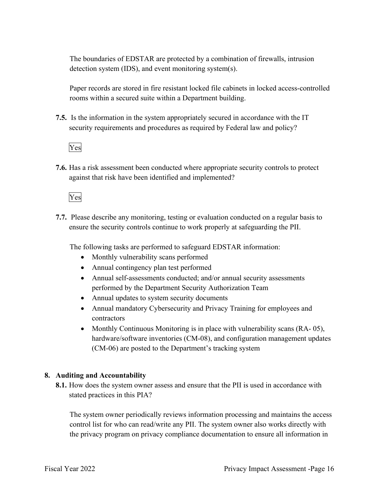The boundaries of EDSTAR are protected by a combination of firewalls, intrusion detection system (IDS), and event monitoring system(s).

Paper records are stored in fire resistant locked file cabinets in locked access-controlled rooms within a secured suite within a Department building.

**7.5.** Is the information in the system appropriately secured in accordance with the IT security requirements and procedures as required by Federal law and policy?



**7.6.** Has a risk assessment been conducted where appropriate security controls to protect against that risk have been identified and implemented?

Yes

 ensure the security controls continue to work properly at safeguarding the PII. **7.7.** Please describe any monitoring, testing or evaluation conducted on a regular basis to

The following tasks are performed to safeguard EDSTAR information:

- Monthly vulnerability scans performed
- Annual contingency plan test performed
- Annual self-assessments conducted; and/or annual security assessments performed by the Department Security Authorization Team
- Annual updates to system security documents
- Annual mandatory Cybersecurity and Privacy Training for employees and contractors
- Monthly Continuous Monitoring is in place with vulnerability scans (RA- 05), hardware/software inventories (CM-08), and configuration management updates (CM-06) are posted to the Department's tracking system

## **8. Auditing and Accountability**

 **8.1.** How does the system owner assess and ensure that the PII is used in accordance with stated practices in this PIA?

 the privacy program on privacy compliance documentation to ensure all information in The system owner periodically reviews information processing and maintains the access control list for who can read/write any PII. The system owner also works directly with